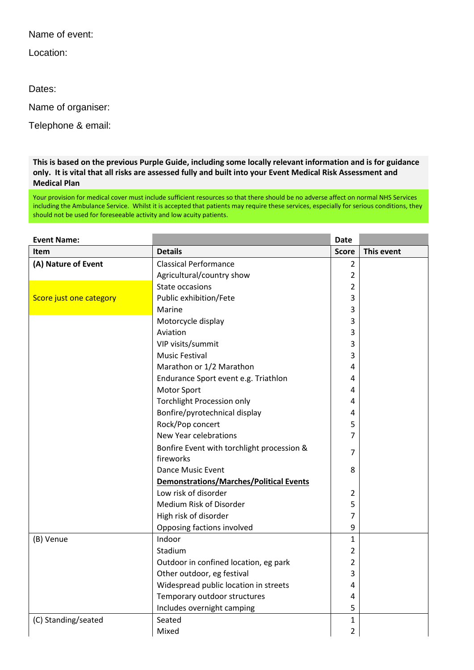Name of event:

Location:

Dates:

Name of organiser:

Telephone & email:

**This is based on the previous Purple Guide, including some locally relevant information and is for guidance only. It is vital that all risks are assessed fully and built into your Event Medical Risk Assessment and Medical Plan**

Your provision for medical cover must include sufficient resources so that there should be no adverse affect on normal NHS Services including the Ambulance Service. Whilst it is accepted that patients may require these services, especially for serious conditions, they should not be used for foreseeable activity and low acuity patients.

| <b>Event Name:</b>      |                                            | <b>Date</b>    |            |
|-------------------------|--------------------------------------------|----------------|------------|
| <b>Item</b>             | <b>Details</b>                             | <b>Score</b>   | This event |
| (A) Nature of Event     | <b>Classical Performance</b>               | $\overline{2}$ |            |
|                         | Agricultural/country show                  | 2              |            |
|                         | State occasions                            | 2              |            |
| Score just one category | Public exhibition/Fete                     | 3              |            |
|                         | Marine                                     | 3              |            |
|                         | Motorcycle display                         | 3              |            |
|                         | Aviation                                   | 3              |            |
|                         | VIP visits/summit                          | 3              |            |
|                         | <b>Music Festival</b>                      | 3              |            |
|                         | Marathon or 1/2 Marathon                   | 4              |            |
|                         | Endurance Sport event e.g. Triathlon       | 4              |            |
|                         | <b>Motor Sport</b>                         | 4              |            |
|                         | <b>Torchlight Procession only</b>          | 4              |            |
|                         | Bonfire/pyrotechnical display              | 4              |            |
|                         | Rock/Pop concert                           | 5              |            |
|                         | New Year celebrations                      | 7              |            |
|                         | Bonfire Event with torchlight procession & | $\overline{7}$ |            |
|                         | fireworks                                  |                |            |
|                         | <b>Dance Music Event</b>                   | 8              |            |
|                         | Demonstrations/Marches/Political Events    |                |            |
|                         | Low risk of disorder                       | 2              |            |
|                         | Medium Risk of Disorder                    | 5              |            |
|                         | High risk of disorder                      | 7              |            |
|                         | Opposing factions involved                 | 9              |            |
| (B) Venue               | Indoor                                     | $\mathbf{1}$   |            |
|                         | Stadium                                    | $\overline{2}$ |            |
|                         | Outdoor in confined location, eg park      | $\overline{2}$ |            |
|                         | Other outdoor, eg festival                 | 3              |            |
|                         | Widespread public location in streets      | 4              |            |
|                         | Temporary outdoor structures               | 4              |            |
|                         | Includes overnight camping                 | 5              |            |
| (C) Standing/seated     | Seated                                     | $\mathbf{1}$   |            |
|                         | Mixed                                      | $\overline{2}$ |            |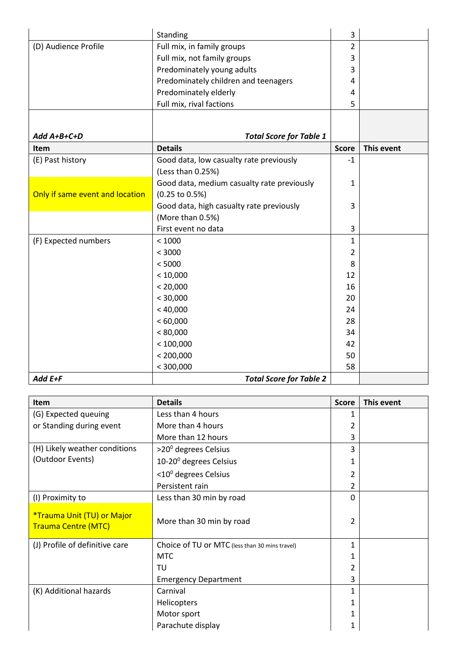|                                 | Standing                                   | 3              |            |
|---------------------------------|--------------------------------------------|----------------|------------|
| (D) Audience Profile            | Full mix, in family groups                 | $\overline{2}$ |            |
|                                 | Full mix, not family groups                | 3              |            |
|                                 | Predominately young adults                 | 3              |            |
|                                 | Predominately children and teenagers       | 4              |            |
|                                 | Predominately elderly                      | 4              |            |
|                                 | Full mix, rival factions                   | 5              |            |
|                                 |                                            |                |            |
|                                 |                                            |                |            |
| Add A+B+C+D                     | <b>Total Score for Table 1</b>             |                |            |
| Item                            | <b>Details</b>                             | <b>Score</b>   | This event |
| (E) Past history                | Good data, low casualty rate previously    | $-1$           |            |
|                                 | (Less than 0.25%)                          |                |            |
|                                 | Good data, medium casualty rate previously | 1              |            |
| Only if same event and location | (0.25 to 0.5%)                             |                |            |
|                                 | Good data, high casualty rate previously   | 3              |            |
|                                 | (More than 0.5%)                           |                |            |
|                                 | First event no data                        | 3              |            |
| (F) Expected numbers            | < 1000                                     | 1              |            |
|                                 | < 3000                                     | 2              |            |
|                                 | < 5000                                     | 8              |            |
|                                 | < 10,000                                   | 12             |            |
|                                 | < 20,000                                   | 16             |            |
|                                 | < 30,000                                   | 20             |            |
|                                 | < 40,000                                   | 24             |            |
|                                 | < 60,000                                   | 28             |            |
|                                 | < 80,000                                   | 34             |            |
|                                 | < 100,000                                  | 42             |            |
|                                 | < 200,000                                  | 50             |            |
|                                 | < 300,000                                  | 58             |            |
| Add E+F                         | <b>Total Score for Table 2</b>             |                |            |

| <b>Item</b>                                              | <b>Details</b>                                 | <b>Score</b> | This event |
|----------------------------------------------------------|------------------------------------------------|--------------|------------|
| (G) Expected queuing                                     | Less than 4 hours                              |              |            |
| or Standing during event                                 | More than 4 hours                              |              |            |
|                                                          | More than 12 hours                             | 3            |            |
| (H) Likely weather conditions                            | $>$ 20 <sup>0</sup> degrees Celsius            | 3            |            |
| (Outdoor Events)                                         | $10-20$ <sup>o</sup> degrees Celsius           |              |            |
|                                                          | $<$ 10 $0$ degrees Celsius                     | 2            |            |
|                                                          | Persistent rain                                | 2            |            |
| (I) Proximity to                                         | Less than 30 min by road                       | 0            |            |
| *Trauma Unit (TU) or Major<br><b>Trauma Centre (MTC)</b> | More than 30 min by road                       | 2            |            |
| (J) Profile of definitive care                           | Choice of TU or MTC (less than 30 mins travel) | 1            |            |
|                                                          | <b>MTC</b>                                     |              |            |
|                                                          | TU                                             | 2            |            |
|                                                          | <b>Emergency Department</b>                    | 3            |            |
| (K) Additional hazards                                   | Carnival                                       | 1            |            |
|                                                          | <b>Helicopters</b>                             | 1            |            |
|                                                          | Motor sport                                    | 1            |            |
|                                                          | Parachute display                              | 1            |            |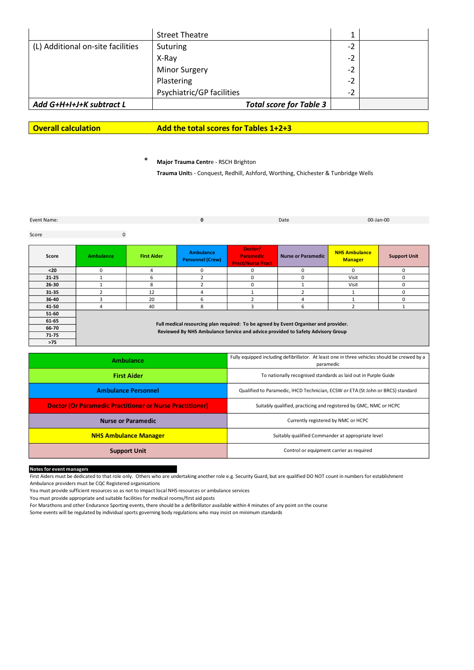|                                   | <b>Street Theatre</b>          |      |  |
|-----------------------------------|--------------------------------|------|--|
| (L) Additional on-site facilities | Suturing                       | -2   |  |
|                                   | X-Ray                          | -2   |  |
|                                   | <b>Minor Surgery</b>           | $-2$ |  |
|                                   | Plastering                     | -2   |  |
|                                   | Psychiatric/GP facilities      | -2   |  |
| Add G+H+I+J+K subtract L          | <b>Total score for Table 3</b> |      |  |
|                                   |                                |      |  |

**Overall calculation Add the total scores for Tables 1+2+3**

\* **Major Trauma Centr**e - RSCH Brighton

**Trauma Unit**s - Conquest, Redhill, Ashford, Worthing, Chichester & Tunbridge Wells

Event Name: **Date of the Contract Act of the Contract Act of the Contract Act of the Contract Act of the Contract Act of the Contract Act of the Contract Act of the Contract Act of the Contract Act of the Contract Act of t** 

**0** 00-Jan-00

Score **0** 

| Score     | <b>Ambulance</b>                                                                                                                                                       | <b>First Aider</b> | <b>Ambulance</b><br><b>Personnel (Crew)</b> | Doctor/<br><b>Paramedic</b><br><b>Pract/Nurse Pract</b> | Nurse or Paramedic | <b>NHS Ambulance</b><br><b>Manager</b> | <b>Support Unit</b> |
|-----------|------------------------------------------------------------------------------------------------------------------------------------------------------------------------|--------------------|---------------------------------------------|---------------------------------------------------------|--------------------|----------------------------------------|---------------------|
| $20$      | $\Omega$                                                                                                                                                               | 4                  | 0                                           |                                                         | <sup>0</sup>       | $\Omega$                               | $\mathbf{0}$        |
| $21 - 25$ |                                                                                                                                                                        | 6                  |                                             | n                                                       | U                  | Visit                                  | 0                   |
| 26-30     |                                                                                                                                                                        | 8                  |                                             |                                                         |                    | Visit                                  | 0                   |
| $31 - 35$ |                                                                                                                                                                        | 12                 | 4                                           |                                                         |                    |                                        | $\Omega$            |
| 36-40     |                                                                                                                                                                        | 20                 | 6                                           |                                                         | 4                  |                                        | $\Omega$            |
| 41-50     |                                                                                                                                                                        | 40                 | 8                                           |                                                         | ь                  |                                        |                     |
| $51-60$   |                                                                                                                                                                        |                    |                                             |                                                         |                    |                                        |                     |
| 61-65     | Full medical resourcing plan required: To be agreed by Event Organiser and provider.<br>Reviewed By NHS Ambulance Service and advice provided to Safety Advisory Group |                    |                                             |                                                         |                    |                                        |                     |
| 66-70     |                                                                                                                                                                        |                    |                                             |                                                         |                    |                                        |                     |
| $71 - 75$ |                                                                                                                                                                        |                    |                                             |                                                         |                    |                                        |                     |
| $>75$     |                                                                                                                                                                        |                    |                                             |                                                         |                    |                                        |                     |

| Ambulance                                                       | Fully equipped including defibrillator. At least one in three vehicles should be crewed by a<br>paramedic |
|-----------------------------------------------------------------|-----------------------------------------------------------------------------------------------------------|
| <b>First Aider</b>                                              | To nationally recognised standards as laid out in Purple Guide                                            |
| <b>Ambulance Personnel</b>                                      | Qualified to Paramedic, IHCD Technician, ECSW or ETA (St John or BRCS) standard                           |
| <b>Doctor (Or Paramedic Practitioner or Nurse Practitioner)</b> | Suitably qualified, practicing and registered by GMC, NMC or HCPC                                         |
| <b>Nurse or Paramedic</b>                                       | Currently registered by NMC or HCPC                                                                       |
| <b>NHS Ambulance Manager</b>                                    | Suitably qualified Commander at appropriate level                                                         |
| <b>Support Unit</b>                                             | Control or equipment carrier as required                                                                  |

**Notes for event managers**

First Aiders must be dedicated to that role only. Others who are undertaking another role e.g. Security Guard, but are qualified DO NOT count in numbers for establishment Ambulance providers must be CQC Registered organisations

You must provide sufficient resources so as not to impact local NHS resources or ambulance services

You must provide appropriate and suitable facilities for medical rooms/first aid posts

For Marathons and other Endurance Sporting events, there should be a defibrillator available within 4 minutes of any point on the course

Some events will be regulated by individual sports governing body regulations who may insist on minimum standards